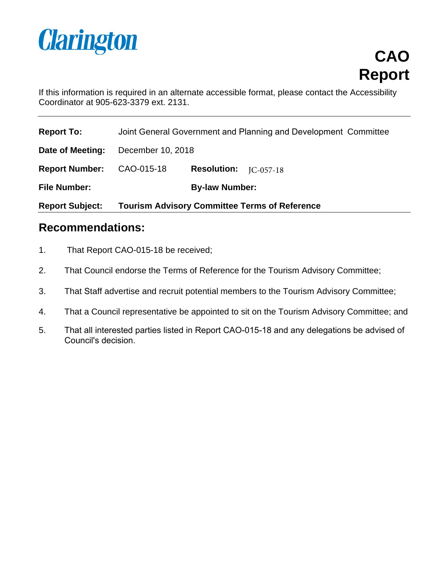

**CAO Report**

If this information is required in an alternate accessible format, please contact the Accessibility Coordinator at 905-623-3379 ext. 2131.

| <b>Report To:</b>      | Joint General Government and Planning and Development Committee |                    |             |
|------------------------|-----------------------------------------------------------------|--------------------|-------------|
| Date of Meeting:       | December 10, 2018                                               |                    |             |
| <b>Report Number:</b>  | CAO-015-18                                                      | <b>Resolution:</b> | $IC-057-18$ |
| <b>File Number:</b>    | <b>By-law Number:</b>                                           |                    |             |
| <b>Report Subject:</b> | <b>Tourism Advisory Committee Terms of Reference</b>            |                    |             |

# **Recommendations:**

- 1. That Report CAO-015-18 be received;
- 2. That Council endorse the Terms of Reference for the Tourism Advisory Committee;
- 3. That Staff advertise and recruit potential members to the Tourism Advisory Committee;
- 4. That a Council representative be appointed to sit on the Tourism Advisory Committee; and
- 5. That all interested parties listed in Report CAO-015-18 and any delegations be advised of Council's decision.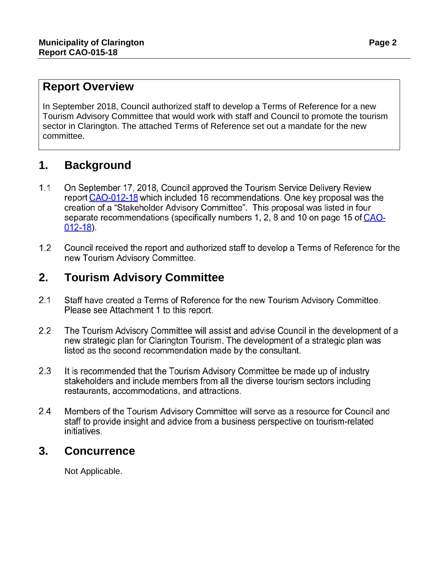### **Report Overview**

In September 2018, Council authorized staff to develop a Terms of Reference for a new Tourism Advisory Committee that would work with staff and Council to promote the tourism sector in Clarington. The attached Terms of Reference set out a mandate for the new committee.

# **1. Background**

- $1.1$ On September 17, 2018, Council approved the Tourism Service Delivery Review report CAO-012-18 which included 16 recommendations. One key proposal was the creation of a "Stakeholder Advisory Committee". This proposal was listed in four separate recommendations (specifically numbers 1, 2, 8 and 10 on page 15 of CAO- $012 - 18$ ).
- $1.2$ Council received the report and authorized staff to develop a Terms of Reference for the new Tourism Advisory Committee.

# **2. Tourism Advisory Committee**

- $2.1$ Staff have created a Terms of Reference for the new Tourism Advisory Committee. Please see Attachment 1 to this report.
- $2.2$ The Tourism Advisory Committee will assist and advise Council in the development of a new strategic plan for Clarington Tourism. The development of a strategic plan was listed as the second recommendation made by the consultant.
- $2.3$ It is recommended that the Tourism Advisory Committee be made up of industry stakeholders and include members from all the diverse tourism sectors including restaurants, accommodations, and attractions.
- $2.4$ Members of the Tourism Advisory Committee will serve as a resource for Council and staff to provide insight and advice from a business perspective on tourism-related initiatives.

## **3. Concurrence**

Not Applicable.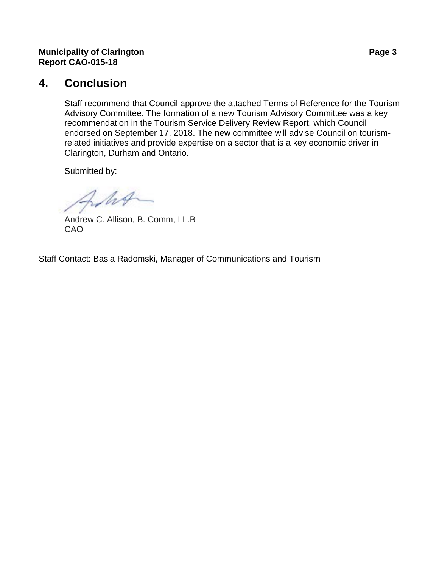### **4. Conclusion**

Staff recommend that Council approve the attached Terms of Reference for the Tourism Advisory Committee. The formation of a new Tourism Advisory Committee was a key recommendation in the Tourism Service Delivery Review Report, which Council endorsed on September 17, 2018. The new committee will advise Council on tourismrelated initiatives and provide expertise on a sector that is a key economic driver in Clarington, Durham and Ontario.

Submitted by:

WA

Andrew C. Allison, B. Comm, LL.B CAO

Staff Contact: Basia Radomski, Manager of Communications and Tourism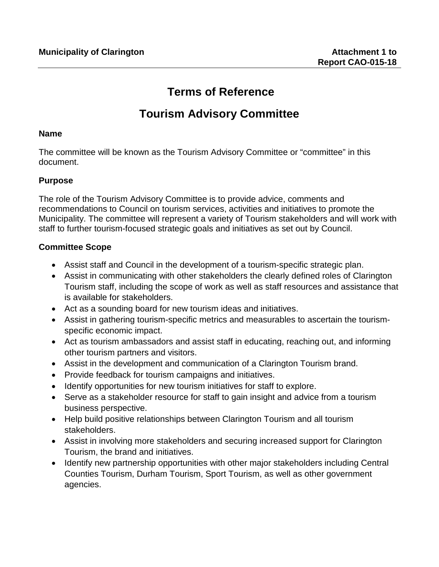# **Terms of Reference**

# **Tourism Advisory Committee**

#### **Name**

The committee will be known as the Tourism Advisory Committee or "committee" in this document.

### **Purpose**

The role of the Tourism Advisory Committee is to provide advice, comments and recommendations to Council on tourism services, activities and initiatives to promote the Municipality. The committee will represent a variety of Tourism stakeholders and will work with staff to further tourism-focused strategic goals and initiatives as set out by Council.

### **Committee Scope**

- Assist staff and Council in the development of a tourism-specific strategic plan.
- Assist in communicating with other stakeholders the clearly defined roles of Clarington Tourism staff, including the scope of work as well as staff resources and assistance that is available for stakeholders.
- Act as a sounding board for new tourism ideas and initiatives.
- Assist in gathering tourism-specific metrics and measurables to ascertain the tourismspecific economic impact.
- Act as tourism ambassadors and assist staff in educating, reaching out, and informing other tourism partners and visitors.
- Assist in the development and communication of a Clarington Tourism brand.
- Provide feedback for tourism campaigns and initiatives.
- Identify opportunities for new tourism initiatives for staff to explore.
- Serve as a stakeholder resource for staff to gain insight and advice from a tourism business perspective.
- Help build positive relationships between Clarington Tourism and all tourism stakeholders.
- Assist in involving more stakeholders and securing increased support for Clarington Tourism, the brand and initiatives.
- Identify new partnership opportunities with other major stakeholders including Central Counties Tourism, Durham Tourism, Sport Tourism, as well as other government agencies.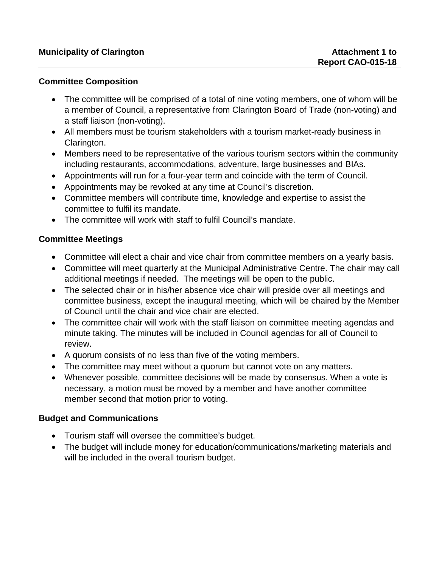#### **Committee Composition**

- The committee will be comprised of a total of nine voting members, one of whom will be a member of Council, a representative from Clarington Board of Trade (non-voting) and a staff liaison (non-voting).
- All members must be tourism stakeholders with a tourism market-ready business in Clarington.
- Members need to be representative of the various tourism sectors within the community including restaurants, accommodations, adventure, large businesses and BIAs.
- Appointments will run for a four-year term and coincide with the term of Council.
- Appointments may be revoked at any time at Council's discretion.
- Committee members will contribute time, knowledge and expertise to assist the committee to fulfil its mandate.
- The committee will work with staff to fulfil Council's mandate.

### **Committee Meetings**

- Committee will elect a chair and vice chair from committee members on a yearly basis.
- Committee will meet quarterly at the Municipal Administrative Centre. The chair may call additional meetings if needed. The meetings will be open to the public.
- The selected chair or in his/her absence vice chair will preside over all meetings and committee business, except the inaugural meeting, which will be chaired by the Member of Council until the chair and vice chair are elected.
- The committee chair will work with the staff liaison on committee meeting agendas and minute taking. The minutes will be included in Council agendas for all of Council to review.
- A quorum consists of no less than five of the voting members.
- The committee may meet without a quorum but cannot vote on any matters.
- Whenever possible, committee decisions will be made by consensus. When a vote is necessary, a motion must be moved by a member and have another committee member second that motion prior to voting.

#### **Budget and Communications**

- Tourism staff will oversee the committee's budget.
- The budget will include money for education/communications/marketing materials and will be included in the overall tourism budget.